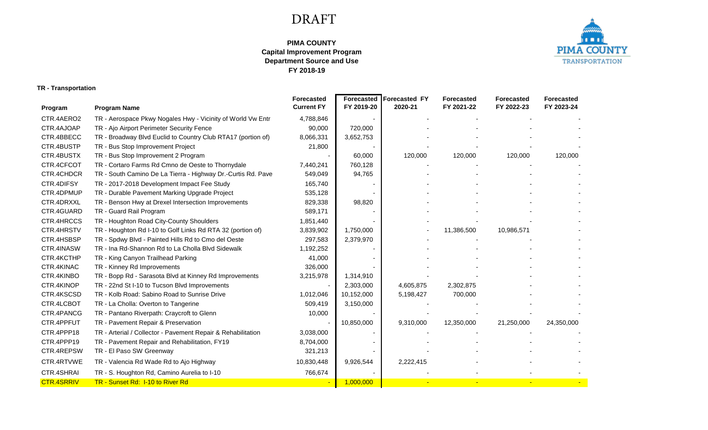## DRAFT

## **FY 2018-19 PIMA COUNTY Capital Improvement Program Department Source and Use**



## **TR - Transportation**

|                   |                                                              | <b>Forecasted</b> | <b>Forecasted</b> | Forecasted FY | <b>Forecasted</b> | <b>Forecasted</b> | <b>Forecasted</b> |
|-------------------|--------------------------------------------------------------|-------------------|-------------------|---------------|-------------------|-------------------|-------------------|
| Program           | <b>Program Name</b>                                          | <b>Current FY</b> | FY 2019-20        | 2020-21       | FY 2021-22        | FY 2022-23        | FY 2023-24        |
| CTR.4AERO2        | TR - Aerospace Pkwy Nogales Hwy - Vicinity of World Vw Entr  | 4,788,846         |                   |               |                   |                   |                   |
| CTR.4AJOAP        | TR - Ajo Airport Perimeter Security Fence                    | 90,000            | 720,000           |               |                   |                   |                   |
| CTR.4BBECC        | TR - Broadway Blvd Euclid to Country Club RTA17 (portion of) | 8,066,331         | 3,652,753         |               |                   |                   |                   |
| CTR.4BUSTP        | TR - Bus Stop Improvement Project                            | 21,800            |                   |               |                   |                   |                   |
| CTR.4BUSTX        | TR - Bus Stop Improvement 2 Program                          |                   | 60,000            | 120,000       | 120,000           | 120,000           | 120,000           |
| CTR.4CFCOT        | TR - Cortaro Farms Rd Cmno de Oeste to Thornydale            | 7,440,241         | 760,128           |               |                   |                   |                   |
| CTR.4CHDCR        | TR - South Camino De La Tierra - Highway Dr.-Curtis Rd. Pave | 549,049           | 94,765            |               |                   |                   |                   |
| CTR.4DIFSY        | TR - 2017-2018 Development Impact Fee Study                  | 165,740           |                   |               |                   |                   |                   |
| CTR.4DPMUP        | TR - Durable Pavement Marking Upgrade Project                | 535,128           |                   |               |                   |                   |                   |
| CTR.4DRXXL        | TR - Benson Hwy at Drexel Intersection Improvements          | 829,338           | 98,820            |               |                   |                   |                   |
| CTR.4GUARD        | TR - Guard Rail Program                                      | 589,171           |                   |               |                   |                   |                   |
| CTR.4HRCCS        | TR - Houghton Road City-County Shoulders                     | 1,851,440         |                   |               |                   |                   |                   |
| CTR.4HRSTV        | TR - Houghton Rd I-10 to Golf Links Rd RTA 32 (portion of)   | 3,839,902         | 1,750,000         |               | 11,386,500        | 10,986,571        |                   |
| CTR.4HSBSP        | TR - Spdwy Blvd - Painted Hills Rd to Cmo del Oeste          | 297,583           | 2,379,970         |               |                   |                   |                   |
| CTR.4INASW        | TR - Ina Rd-Shannon Rd to La Cholla Blvd Sidewalk            | 1,192,252         |                   |               |                   |                   |                   |
| CTR.4KCTHP        | TR - King Canyon Trailhead Parking                           | 41,000            |                   |               |                   |                   |                   |
| CTR.4KINAC        | TR - Kinney Rd Improvements                                  | 326,000           |                   |               |                   |                   |                   |
| CTR.4KINBO        | TR - Bopp Rd - Sarasota Blvd at Kinney Rd Improvements       | 3,215,978         | 1,314,910         |               |                   |                   |                   |
| CTR.4KINOP        | TR - 22nd St I-10 to Tucson Blvd Improvements                |                   | 2,303,000         | 4,605,875     | 2,302,875         |                   |                   |
| CTR.4KSCSD        | TR - Kolb Road: Sabino Road to Sunrise Drive                 | 1,012,046         | 10,152,000        | 5,198,427     | 700,000           |                   |                   |
| CTR.4LCBOT        | TR - La Cholla: Overton to Tangerine                         | 509,419           | 3,150,000         |               |                   |                   |                   |
| CTR.4PANCG        | TR - Pantano Riverpath: Craycroft to Glenn                   | 10,000            |                   |               |                   |                   |                   |
| CTR.4PPFUT        | TR - Pavement Repair & Preservation                          |                   | 10,850,000        | 9,310,000     | 12,350,000        | 21,250,000        | 24,350,000        |
| CTR.4PPP18        | TR - Arterial / Collector - Pavement Repair & Rehabilitation | 3,038,000         |                   |               |                   |                   |                   |
| CTR.4PPP19        | TR - Pavement Repair and Rehabilitation, FY19                | 8,704,000         |                   |               |                   |                   |                   |
| CTR.4REPSW        | TR - El Paso SW Greenway                                     | 321,213           |                   |               |                   |                   |                   |
| CTR.4RTVWE        | TR - Valencia Rd Wade Rd to Ajo Highway                      | 10,830,448        | 9,926,544         | 2,222,415     |                   |                   |                   |
| CTR.4SHRAI        | TR - S. Houghton Rd, Camino Aurelia to I-10                  | 766,674           |                   |               |                   |                   |                   |
| <b>CTR.4SRRIV</b> | TR - Sunset Rd: I-10 to River Rd                             |                   | 1.000.000         |               |                   |                   |                   |